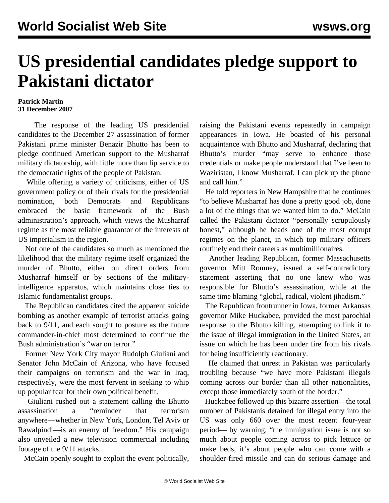## **US presidential candidates pledge support to Pakistani dictator**

## **Patrick Martin 31 December 2007**

 The response of the leading US presidential candidates to the December 27 assassination of former Pakistani prime minister Benazir Bhutto has been to pledge continued American support to the Musharraf military dictatorship, with little more than lip service to the democratic rights of the people of Pakistan.

 While offering a variety of criticisms, either of US government policy or of their rivals for the presidential nomination, both Democrats and Republicans embraced the basic framework of the Bush administration's approach, which views the Musharraf regime as the most reliable guarantor of the interests of US imperialism in the region.

 Not one of the candidates so much as mentioned the likelihood that the military regime itself organized the murder of Bhutto, either on direct orders from Musharraf himself or by sections of the militaryintelligence apparatus, which maintains close ties to Islamic fundamentalist groups.

 The Republican candidates cited the apparent suicide bombing as another example of terrorist attacks going back to 9/11, and each sought to posture as the future commander-in-chief most determined to continue the Bush administration's "war on terror."

 Former New York City mayor Rudolph Giuliani and Senator John McCain of Arizona, who have focused their campaigns on terrorism and the war in Iraq, respectively, were the most fervent in seeking to whip up popular fear for their own political benefit.

 Giuliani rushed out a statement calling the Bhutto assassination a "reminder that terrorism anywhere—whether in New York, London, Tel Aviv or Rawalpindi—is an enemy of freedom." His campaign also unveiled a new television commercial including footage of the 9/11 attacks.

McCain openly sought to exploit the event politically,

raising the Pakistani events repeatedly in campaign appearances in Iowa. He boasted of his personal acquaintance with Bhutto and Musharraf, declaring that Bhutto's murder "may serve to enhance those credentials or make people understand that I've been to Waziristan, I know Musharraf, I can pick up the phone and call him."

 He told reporters in New Hampshire that he continues "to believe Musharraf has done a pretty good job, done a lot of the things that we wanted him to do." McCain called the Pakistani dictator "personally scrupulously honest," although he heads one of the most corrupt regimes on the planet, in which top military officers routinely end their careers as multimillionaires.

 Another leading Republican, former Massachusetts governor Mitt Romney, issued a self-contradictory statement asserting that no one knew who was responsible for Bhutto's assassination, while at the same time blaming "global, radical, violent jihadism."

 The Republican frontrunner in Iowa, former Arkansas governor Mike Huckabee, provided the most parochial response to the Bhutto killing, attempting to link it to the issue of illegal immigration in the United States, an issue on which he has been under fire from his rivals for being insufficiently reactionary.

 He claimed that unrest in Pakistan was particularly troubling because "we have more Pakistani illegals coming across our border than all other nationalities, except those immediately south of the border."

 Huckabee followed up this bizarre assertion—the total number of Pakistanis detained for illegal entry into the US was only 660 over the most recent four-year period— by warning, "the immigration issue is not so much about people coming across to pick lettuce or make beds, it's about people who can come with a shoulder-fired missile and can do serious damage and